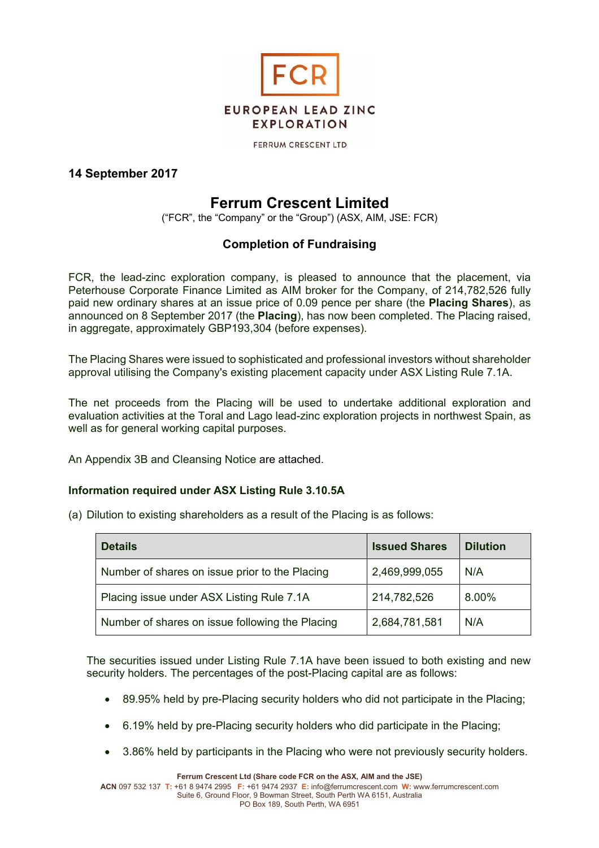

**FERRUM CRESCENT LTD** 

### **14 September 2017**

# **Ferrum Crescent Limited**

("FCR", the "Company" or the "Group") (ASX, AIM, JSE: FCR)

### **Completion of Fundraising**

FCR, the lead-zinc exploration company, is pleased to announce that the placement, via Peterhouse Corporate Finance Limited as AIM broker for the Company, of 214,782,526 fully paid new ordinary shares at an issue price of 0.09 pence per share (the **Placing Shares**), as announced on 8 September 2017 (the **Placing**), has now been completed. The Placing raised, in aggregate, approximately GBP193,304 (before expenses).

The Placing Shares were issued to sophisticated and professional investors without shareholder approval utilising the Company's existing placement capacity under ASX Listing Rule 7.1A.

The net proceeds from the Placing will be used to undertake additional exploration and evaluation activities at the Toral and Lago lead-zinc exploration projects in northwest Spain, as well as for general working capital purposes.

An Appendix 3B and Cleansing Notice are attached.

### **Information required under ASX Listing Rule 3.10.5A**

(a) Dilution to existing shareholders as a result of the Placing is as follows:

| <b>Details</b>                                  | <b>Issued Shares</b> | <b>Dilution</b> |
|-------------------------------------------------|----------------------|-----------------|
| Number of shares on issue prior to the Placing  | 2,469,999,055        | N/A             |
| Placing issue under ASX Listing Rule 7.1A       | 214,782,526          | 8.00%           |
| Number of shares on issue following the Placing | 2,684,781,581        | N/A             |

The securities issued under Listing Rule 7.1A have been issued to both existing and new security holders. The percentages of the post-Placing capital are as follows:

- 89.95% held by pre-Placing security holders who did not participate in the Placing;
- 6.19% held by pre-Placing security holders who did participate in the Placing;
- 3.86% held by participants in the Placing who were not previously security holders.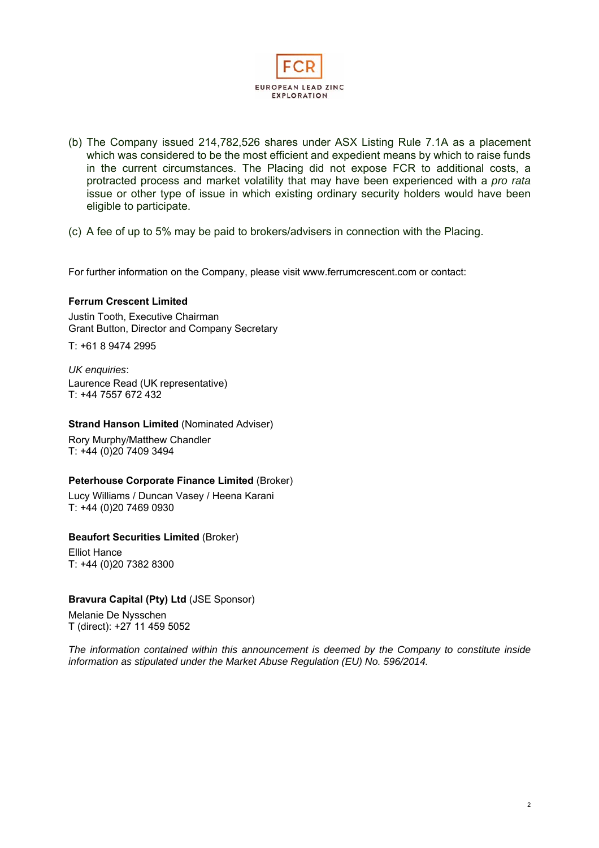

- (b) The Company issued 214,782,526 shares under ASX Listing Rule 7.1A as a placement which was considered to be the most efficient and expedient means by which to raise funds in the current circumstances. The Placing did not expose FCR to additional costs, a protracted process and market volatility that may have been experienced with a *pro rata* issue or other type of issue in which existing ordinary security holders would have been eligible to participate.
- (c) A fee of up to 5% may be paid to brokers/advisers in connection with the Placing.

For further information on the Company, please visit www.ferrumcrescent.com or contact:

#### **Ferrum Crescent Limited**

Justin Tooth, Executive Chairman Grant Button, Director and Company Secretary

T: +61 8 9474 2995

*UK enquiries*: Laurence Read (UK representative) T: +44 7557 672 432

#### **Strand Hanson Limited** (Nominated Adviser)

Rory Murphy/Matthew Chandler T: +44 (0)20 7409 3494

#### **Peterhouse Corporate Finance Limited** (Broker)

Lucy Williams / Duncan Vasey / Heena Karani T: +44 (0)20 7469 0930

#### **Beaufort Securities Limited** (Broker)

Elliot Hance T: +44 (0)20 7382 8300

### **Bravura Capital (Pty) Ltd** (JSE Sponsor)

Melanie De Nysschen T (direct): +27 11 459 5052

*The information contained within this announcement is deemed by the Company to constitute inside information as stipulated under the Market Abuse Regulation (EU) No. 596/2014.*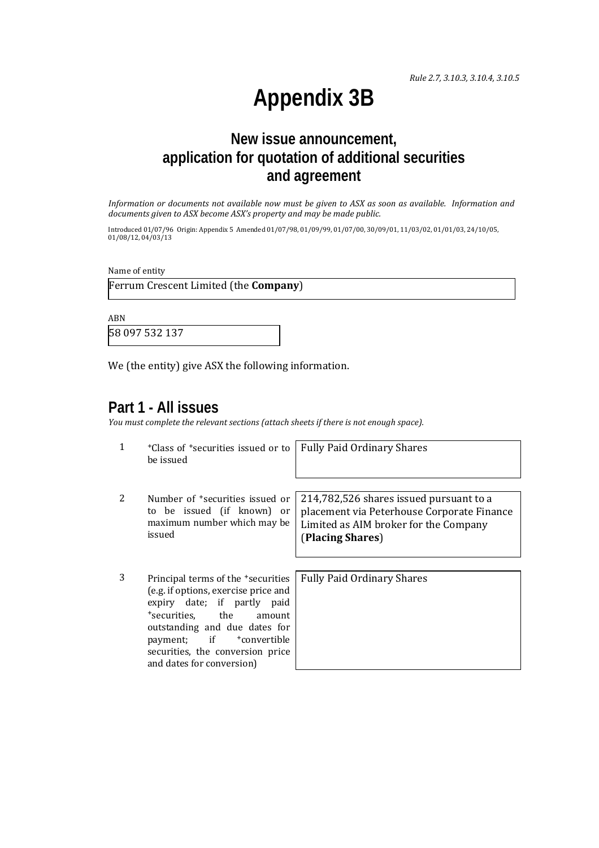*Rule 2.7, 3.10.3, 3.10.4, 3.10.5*

# **Appendix 3B**

# **New issue announcement, application for quotation of additional securities and agreement**

Information or documents not available now must be given to ASX as soon as available. Information and *documents given to ASX become ASX's property and may be made public.*

Introduced 01/07/96 Origin: Appendix 5 Amended 01/07/98, 01/09/99, 01/07/00, 30/09/01, 11/03/02, 01/01/03, 24/10/05,  $01/08/12, 04/03/13$ 

Name of entity

Ferrum Crescent Limited (the **Company**) 

ABN 

58 097 532 137 

We (the entity) give ASX the following information.

### **Part 1 - All issues**

*You must complete the relevant sections (attach sheets if there is not enough space).*

|   | <sup>+</sup> Class of <sup>+</sup> securities issued or to<br>be issued                                                                                                                                                                                                              | <b>Fully Paid Ordinary Shares</b>                                                                                                                  |
|---|--------------------------------------------------------------------------------------------------------------------------------------------------------------------------------------------------------------------------------------------------------------------------------------|----------------------------------------------------------------------------------------------------------------------------------------------------|
| 2 | Number of <sup>+</sup> securities issued or<br>to be issued (if known) or<br>maximum number which may be<br>issued                                                                                                                                                                   | 214,782,526 shares issued pursuant to a<br>placement via Peterhouse Corporate Finance<br>Limited as AIM broker for the Company<br>(Placing Shares) |
|   |                                                                                                                                                                                                                                                                                      |                                                                                                                                                    |
| 3 | Principal terms of the <sup>+</sup> securities<br>(e.g. if options, exercise price and<br>expiry date; if partly paid<br>*securities. the<br>amount<br>outstanding and due dates for<br>payment; if<br>+convertible<br>securities, the conversion price<br>and dates for conversion) | <b>Fully Paid Ordinary Shares</b>                                                                                                                  |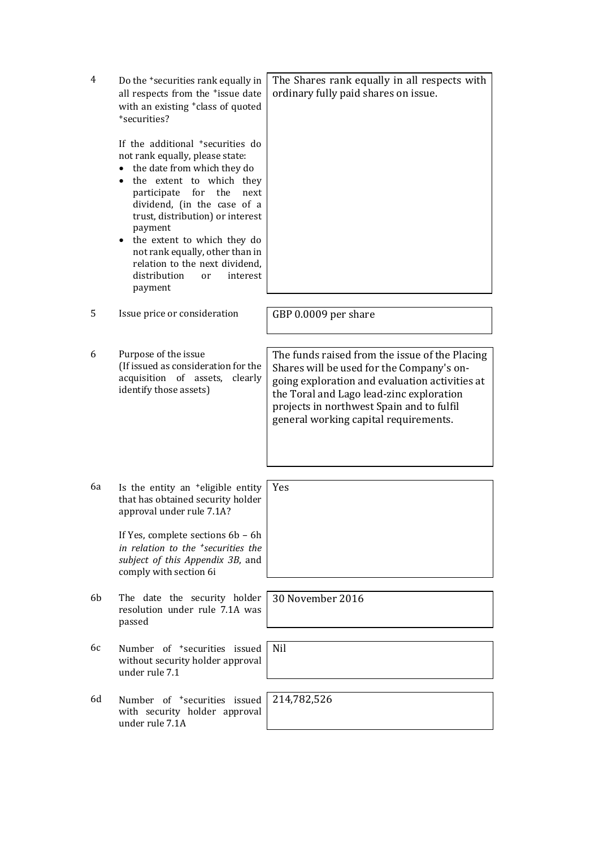| 4  | Do the <sup>+</sup> securities rank equally in<br>all respects from the *issue date<br>with an existing <sup>+</sup> class of quoted<br>*securities?<br>If the additional <sup>+</sup> securities do<br>not rank equally, please state:<br>the date from which they do<br>the extent to which they<br>participate<br>for<br>the<br>next<br>dividend, (in the case of a<br>trust, distribution) or interest<br>payment<br>the extent to which they do<br>$\bullet$<br>not rank equally, other than in<br>relation to the next dividend,<br>distribution<br>interest<br>or<br>payment | The Shares rank equally in all respects with<br>ordinary fully paid shares on issue.                                                                                                                                                                                            |
|----|-------------------------------------------------------------------------------------------------------------------------------------------------------------------------------------------------------------------------------------------------------------------------------------------------------------------------------------------------------------------------------------------------------------------------------------------------------------------------------------------------------------------------------------------------------------------------------------|---------------------------------------------------------------------------------------------------------------------------------------------------------------------------------------------------------------------------------------------------------------------------------|
| 5  | Issue price or consideration                                                                                                                                                                                                                                                                                                                                                                                                                                                                                                                                                        | GBP 0.0009 per share                                                                                                                                                                                                                                                            |
| 6  | Purpose of the issue<br>(If issued as consideration for the<br>acquisition of assets,<br>clearly<br>identify those assets)                                                                                                                                                                                                                                                                                                                                                                                                                                                          | The funds raised from the issue of the Placing<br>Shares will be used for the Company's on-<br>going exploration and evaluation activities at<br>the Toral and Lago lead-zinc exploration<br>projects in northwest Spain and to fulfil<br>general working capital requirements. |
| 6a | Is the entity an <sup>+</sup> eligible entity<br>that has obtained security holder<br>approval under rule 7.1A?<br>If Yes, complete sections 6b - 6h<br>in relation to the <sup>+</sup> securities the<br>subject of this Appendix 3B, and<br>comply with section 6i                                                                                                                                                                                                                                                                                                                | Yes                                                                                                                                                                                                                                                                             |
| 6b | The date the security holder<br>resolution under rule 7.1A was<br>passed                                                                                                                                                                                                                                                                                                                                                                                                                                                                                                            | 30 November 2016                                                                                                                                                                                                                                                                |
| 6с | Number of <sup>+</sup> securities issued<br>without security holder approval<br>under rule 7.1                                                                                                                                                                                                                                                                                                                                                                                                                                                                                      | <b>Nil</b>                                                                                                                                                                                                                                                                      |
| 6d | Number of <sup>+</sup> securities issued<br>with security holder approval<br>under rule 7.1A                                                                                                                                                                                                                                                                                                                                                                                                                                                                                        | 214,782,526                                                                                                                                                                                                                                                                     |
|    |                                                                                                                                                                                                                                                                                                                                                                                                                                                                                                                                                                                     |                                                                                                                                                                                                                                                                                 |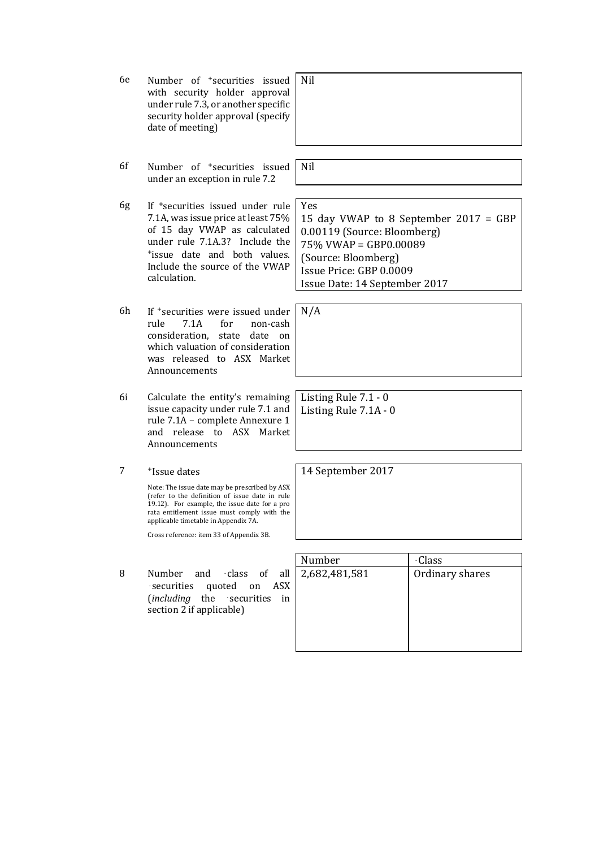| 6e | Number of <sup>+</sup> securities issued<br>with security holder approval<br>under rule 7.3, or another specific<br>security holder approval (specify<br>date of meeting)                                                               | Nil                                                                                                                                                                                     |                 |
|----|-----------------------------------------------------------------------------------------------------------------------------------------------------------------------------------------------------------------------------------------|-----------------------------------------------------------------------------------------------------------------------------------------------------------------------------------------|-----------------|
| 6f | Number of <sup>+</sup> securities issued<br>under an exception in rule 7.2                                                                                                                                                              | Nil                                                                                                                                                                                     |                 |
| 6g | If <sup>+</sup> securities issued under rule<br>7.1A, was issue price at least 75%<br>of 15 day VWAP as calculated<br>under rule 7.1A.3? Include the<br>*issue date and both values.<br>Include the source of the VWAP<br>calculation.  | Yes<br>15 day VWAP to 8 September 2017 = GBP<br>0.00119 (Source: Bloomberg)<br>75% VWAP = GBP0.00089<br>(Source: Bloomberg)<br>Issue Price: GBP 0.0009<br>Issue Date: 14 September 2017 |                 |
| 6h | If *securities were issued under<br>rule<br>7.1A<br>for<br>non-cash<br>consideration,<br>state<br>date<br>on<br>which valuation of consideration<br>was released to ASX Market<br>Announcements                                         | N/A                                                                                                                                                                                     |                 |
| 6i | Calculate the entity's remaining<br>issue capacity under rule 7.1 and<br>rule 7.1A - complete Annexure 1<br>and release to ASX Market<br>Announcements                                                                                  | Listing Rule 7.1 - 0<br>Listing Rule 7.1A - 0                                                                                                                                           |                 |
| 7  | <sup>+</sup> Issue dates                                                                                                                                                                                                                | 14 September 2017                                                                                                                                                                       |                 |
|    | Note: The issue date may be prescribed by ASX<br>(refer to the definition of issue date in rule<br>19.12). For example, the issue date for a pro<br>rata entitlement issue must comply with the<br>applicable timetable in Appendix 7A. |                                                                                                                                                                                         |                 |
|    | Cross reference: item 33 of Appendix 3B.                                                                                                                                                                                                |                                                                                                                                                                                         |                 |
|    |                                                                                                                                                                                                                                         | Number                                                                                                                                                                                  | <b>Class</b>    |
| 8  | Number<br>and<br>class<br>all<br>οf<br>quoted on<br><b>ASX</b><br>securities<br>(including the<br>securities<br>in<br>section 2 if applicable)                                                                                          | 2,682,481,581                                                                                                                                                                           | Ordinary shares |
|    |                                                                                                                                                                                                                                         |                                                                                                                                                                                         |                 |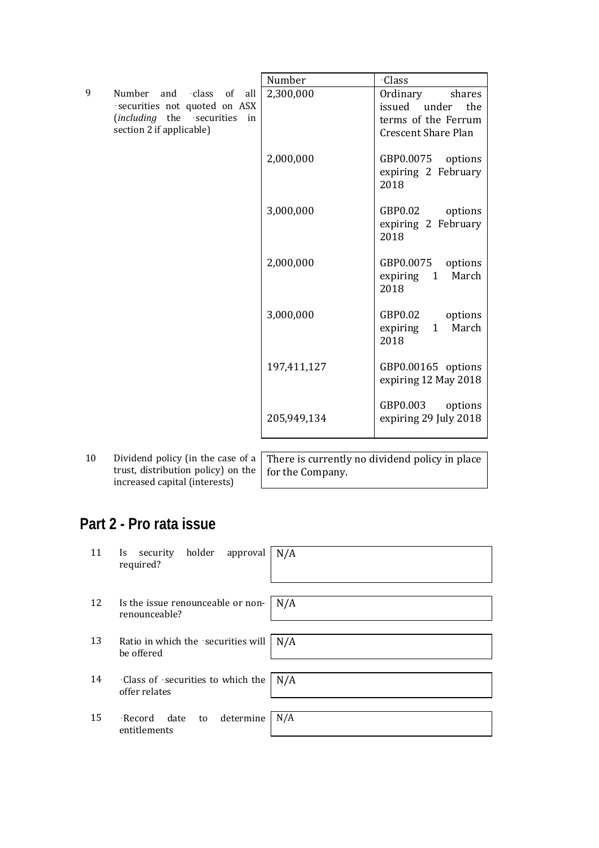|    |                                                                                          | Number      | <b>Class</b>                              |
|----|------------------------------------------------------------------------------------------|-------------|-------------------------------------------|
| 9  | Number<br>class<br>of<br>and<br>all                                                      | 2,300,000   | Ordinary<br>shares                        |
|    | securities not quoted on ASX                                                             |             | issued under<br>the                       |
|    | (including the securities<br>in                                                          |             | terms of the Ferrum                       |
|    | section 2 if applicable)                                                                 |             | <b>Crescent Share Plan</b>                |
|    |                                                                                          | 2,000,000   | GBP0.0075<br>options                      |
|    |                                                                                          |             | expiring 2 February<br>2018               |
|    |                                                                                          | 3,000,000   | GBP0.02<br>options<br>expiring 2 February |
|    |                                                                                          |             | 2018                                      |
|    |                                                                                          | 2,000,000   | GBP0.0075<br>options                      |
|    |                                                                                          |             | March<br>expiring<br>1                    |
|    |                                                                                          |             | 2018                                      |
|    |                                                                                          | 3,000,000   | GBP0.02<br>options                        |
|    |                                                                                          |             | March<br>1<br>expiring                    |
|    |                                                                                          |             | 2018                                      |
|    |                                                                                          | 197,411,127 | GBP0.00165 options                        |
|    |                                                                                          |             | expiring 12 May 2018                      |
|    |                                                                                          |             | GBP0.003<br>options                       |
|    |                                                                                          | 205,949,134 | expiring 29 July 2018                     |
|    |                                                                                          |             |                                           |
|    |                                                                                          |             |                                           |
| 10 | Dividend policy (in the case of a $\vert$ There is currently no dividend policy in place |             |                                           |

10 Dividend policy (in the case of a trust, distribution policy) on the increased capital (interests)

There is currently no dividend policy in place for the Company.

# **Part 2 - Pro rata issue**

| 11 | security holder approval<br>Is.<br>required?       | N/A |
|----|----------------------------------------------------|-----|
| 12 | Is the issue renounceable or non-<br>renounceable? | N/A |
| 13 | Ratio in which the securities will<br>be offered   | N/A |
| 14 | Class of securities to which the<br>offer relates  | N/A |
| 15 | determine<br>·Record date<br>to<br>entitlements    | N/A |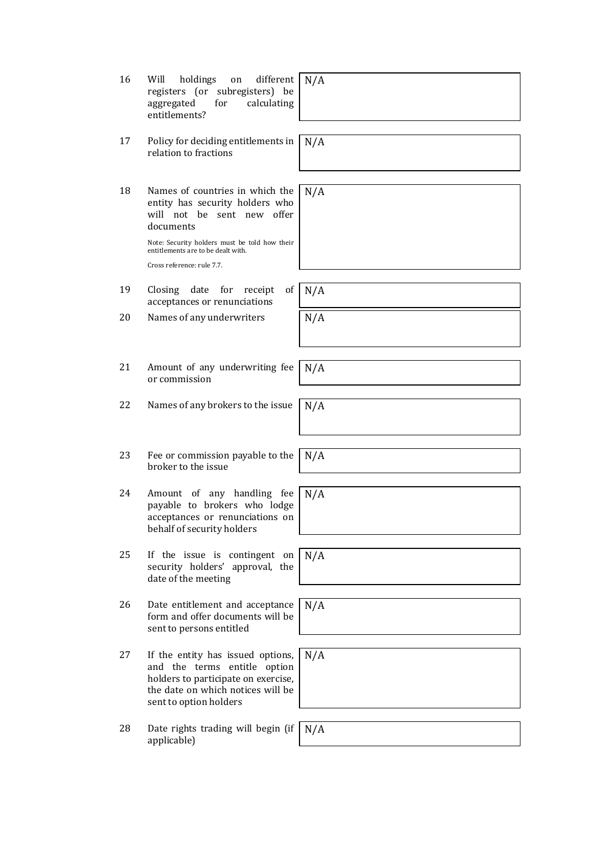- 17 Policy for deciding entitlements in relation to fractions
- 18 Names of countries in which the entity has security holders who will not be sent new offer documents

Note: Security holders must be told how their entitlements are to be dealt with. Cross reference: rule 7.7.

- 19 Closing date for receipt of acceptances or renunciations
- 20 Names of any underwriters  $N/A$
- 21 Amount of any underwriting fee or commission
- 22 Names of any brokers to the issue  $N/A$
- 23 Fee or commission payable to the broker to the issue
- 24 Amount of any handling fee payable to brokers who lodge acceptances or renunciations on behalf of security holders
- 25 If the issue is contingent on security holders' approval, the date of the meeting
- 26 Date entitlement and acceptance form and offer documents will be sent to persons entitled
- 27 If the entity has issued options, and the terms entitle option holders to participate on exercise, the date on which notices will be sent to option holders
- 28 Date rights trading will begin (if applicable)

N/A

N/A 

N/A 

N/A 

N/A 

N/A 

N/A 

N/A 

N/A 

N/A 

N/A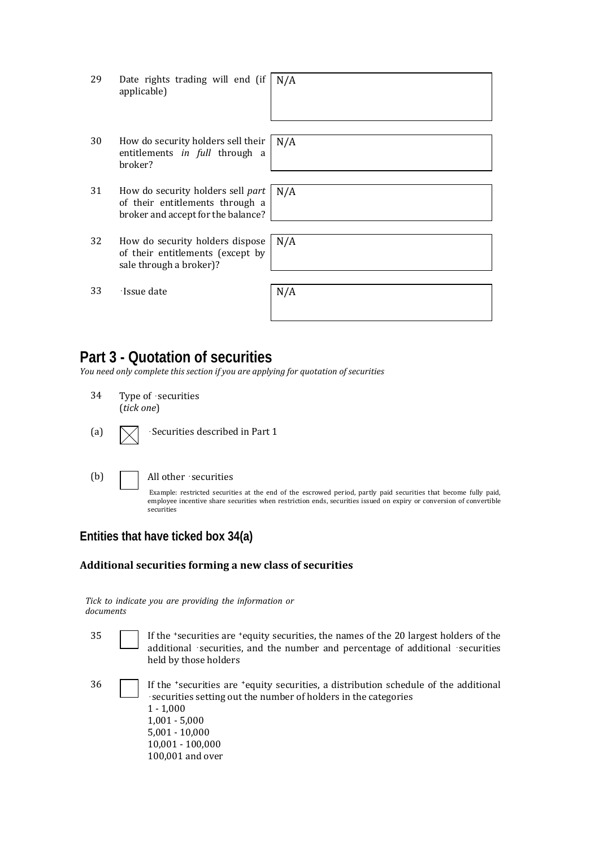| 29 | Date rights trading will end (if<br>applicable)                                                            | N/A |
|----|------------------------------------------------------------------------------------------------------------|-----|
|    |                                                                                                            |     |
| 30 | How do security holders sell their<br>entitlements in full through a<br>broker?                            | N/A |
|    |                                                                                                            |     |
| 31 | How do security holders sell part<br>of their entitlements through a<br>broker and accept for the balance? | N/A |
|    |                                                                                                            |     |
| 32 | How do security holders dispose<br>of their entitlements (except by<br>sale through a broker)?             | N/A |
|    |                                                                                                            |     |
| 33 | ·Issue date                                                                                                | N/A |

# **Part 3 - Quotation of securities**

*You need only complete this section if you are applying for quotation of securities*

- 34 Type of securities (*tick one*)
- (a)  $\sqrt{\phantom{a}}$  Securities described in Part 1

(b)  $\Box$  All other securities

Example: restricted securities at the end of the escrowed period, partly paid securities that become fully paid, employee incentive share securities when restriction ends, securities issued on expiry or conversion of convertible securities 

## **Entities that have ticked box 34(a)**

### **Additional securities forming a new class of securities**

*Tick to indicate you are providing the information or documents*

| 35 | If the 'securities are 'equity securities, the names of the 20 largest holders of the<br>additional securities, and the number and percentage of additional securities<br>held by those holders                                                      |
|----|------------------------------------------------------------------------------------------------------------------------------------------------------------------------------------------------------------------------------------------------------|
| 36 | If the 'securities are 'equity securities, a distribution schedule of the additional<br>securities setting out the number of holders in the categories<br>$1 - 1,000$<br>$1,001 - 5,000$<br>$5,001 - 10,000$<br>10,001 - 100,000<br>100,001 and over |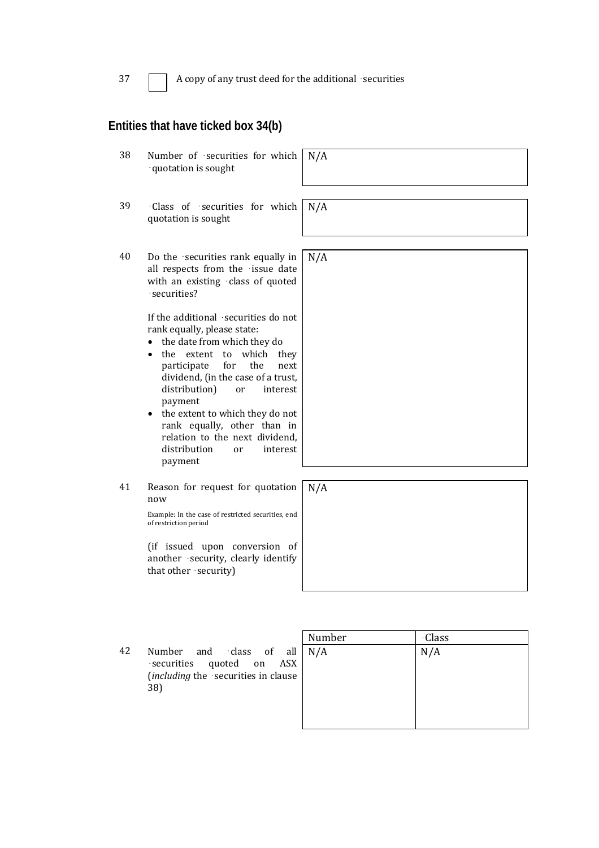37 A copy of any trust deed for the additional securities

### **Entities that have ticked box 34(b)**

| 38 | Number of securities for which<br>· quotation is sought                                                                                                                                                                                                                                                                                                                                                                                                                                                 | N/A |
|----|---------------------------------------------------------------------------------------------------------------------------------------------------------------------------------------------------------------------------------------------------------------------------------------------------------------------------------------------------------------------------------------------------------------------------------------------------------------------------------------------------------|-----|
| 39 | ·Class of securities for which<br>quotation is sought                                                                                                                                                                                                                                                                                                                                                                                                                                                   | N/A |
| 40 | Do the securities rank equally in<br>all respects from the issue date<br>with an existing class of quoted<br>·securities?<br>If the additional securities do not<br>rank equally, please state:<br>the date from which they do<br>the extent to which<br>they<br>for<br>the<br>participate<br>next<br>dividend, (in the case of a trust,<br>distribution)<br>interest<br>or<br>payment<br>the extent to which they do not<br>$\bullet$<br>rank equally, other than in<br>relation to the next dividend, | N/A |
|    | distribution<br>interest<br>or<br>payment                                                                                                                                                                                                                                                                                                                                                                                                                                                               |     |
| 41 | Reason for request for quotation<br>now                                                                                                                                                                                                                                                                                                                                                                                                                                                                 | N/A |
|    | Example: In the case of restricted securities, end<br>of restriction period                                                                                                                                                                                                                                                                                                                                                                                                                             |     |

(if issued upon conversion of another  $\cdot$  security, clearly identify that other · security)

> Number **Class**  $N/A$   $N/A$

42 Number and class of all securities quoted on ASX (*including* the securities in clause 38)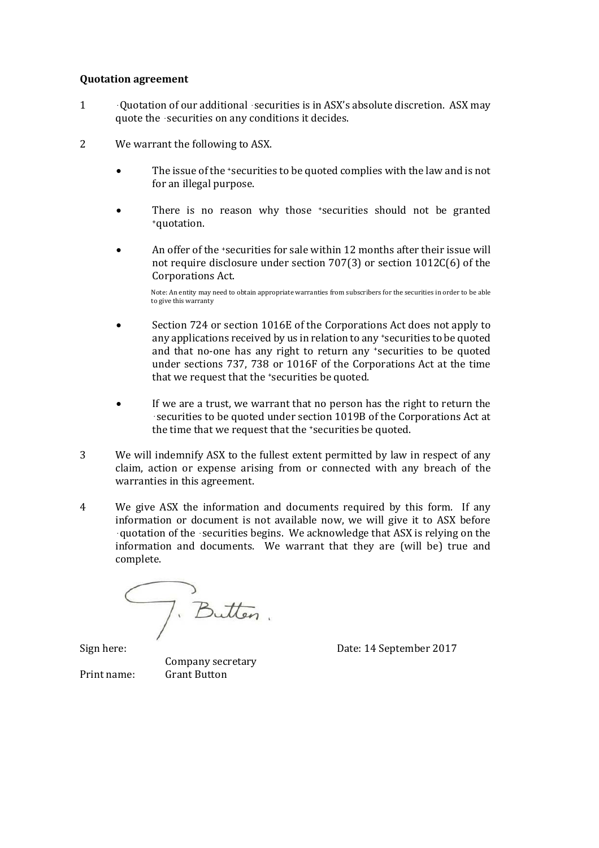### **Quotation agreement**

- 1 Ouotation of our additional securities is in ASX's absolute discretion. ASX may quote the  $\cdot$  securities on any conditions it decides.
- 2 We warrant the following to ASX.
	- The issue of the \*securities to be quoted complies with the law and is not for an illegal purpose.
	- There is no reason why those 'securities should not be granted +quotation.
	- An offer of the \*securities for sale within 12 months after their issue will not require disclosure under section  $707(3)$  or section  $1012C(6)$  of the Corporations Act.

Note: An entity may need to obtain appropriate warranties from subscribers for the securities in order to be able to give this warranty

- Section 724 or section 1016E of the Corporations Act does not apply to any applications received by us in relation to any <sup>+</sup>securities to be quoted and that no-one has any right to return any 'securities to be quoted under sections 737, 738 or 1016F of the Corporations Act at the time that we request that the 'securities be quoted.
- If we are a trust, we warrant that no person has the right to return the securities to be quoted under section 1019B of the Corporations Act at the time that we request that the 'securities be quoted.
- 3 We will indemnify ASX to the fullest extent permitted by law in respect of any claim, action or expense arising from or connected with any breach of the warranties in this agreement.
- 4 We give ASX the information and documents required by this form. If any information or document is not available now, we will give it to ASX before quotation of the securities begins. We acknowledge that ASX is relying on the information and documents. We warrant that they are (will be) true and complete.

). Butten.

 Company secretary Print name: Grant Button

Sign here: Sign here: Sign here: Sign here: Sign here: Sign here: Sign here: Sign here: Sign here: Sign here: Sign here: Sign here: Sign here: Sign here: Sign here: Sign here: Sign here: Sign here: Sign here: Sign here: Si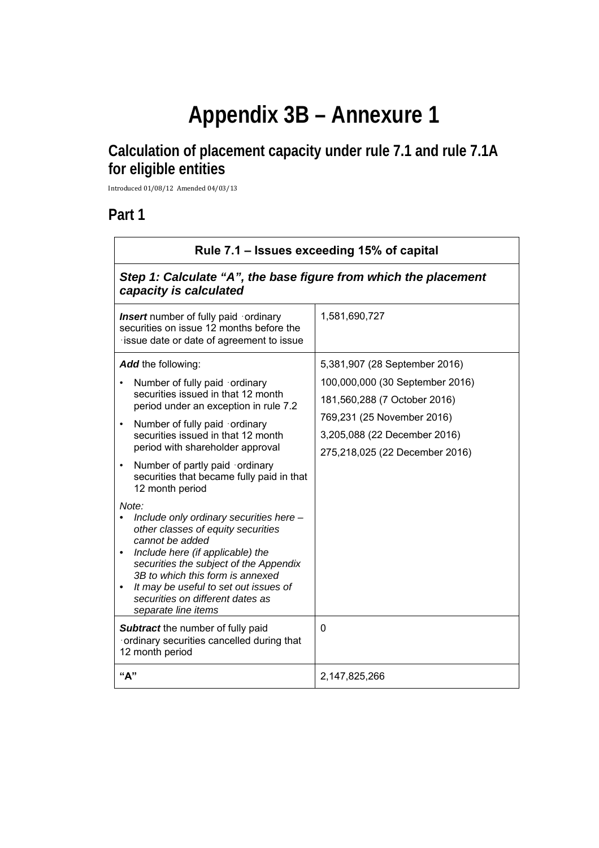# **Appendix 3B – Annexure 1**

# **Calculation of placement capacity under rule 7.1 and rule 7.1A for eligible entities**

Introduced 01/08/12 Amended 04/03/13 

# **Part 1**

| Rule 7.1 – Issues exceeding 15% of capital                                                                                                                                                                                                                                                                                                                                                                                                                                                                                                                                                                                                                                                                                                                                                                                                      |                                                                                                                                                                                                       |  |
|-------------------------------------------------------------------------------------------------------------------------------------------------------------------------------------------------------------------------------------------------------------------------------------------------------------------------------------------------------------------------------------------------------------------------------------------------------------------------------------------------------------------------------------------------------------------------------------------------------------------------------------------------------------------------------------------------------------------------------------------------------------------------------------------------------------------------------------------------|-------------------------------------------------------------------------------------------------------------------------------------------------------------------------------------------------------|--|
| Step 1: Calculate "A", the base figure from which the placement<br>capacity is calculated                                                                                                                                                                                                                                                                                                                                                                                                                                                                                                                                                                                                                                                                                                                                                       |                                                                                                                                                                                                       |  |
| <b>Insert</b> number of fully paid ordinary<br>securities on issue 12 months before the<br>issue date or date of agreement to issue                                                                                                                                                                                                                                                                                                                                                                                                                                                                                                                                                                                                                                                                                                             | 1,581,690,727                                                                                                                                                                                         |  |
| <b>Add</b> the following:<br>Number of fully paid ordinary<br>$\bullet$<br>securities issued in that 12 month<br>period under an exception in rule 7.2<br>Number of fully paid ordinary<br>$\bullet$<br>securities issued in that 12 month<br>period with shareholder approval<br>Number of partly paid ordinary<br>$\bullet$<br>securities that became fully paid in that<br>12 month period<br>Note:<br>Include only ordinary securities here -<br>other classes of equity securities<br>cannot be added<br>Include here (if applicable) the<br>٠<br>securities the subject of the Appendix<br>3B to which this form is annexed<br>It may be useful to set out issues of<br>٠<br>securities on different dates as<br>separate line items<br>Subtract the number of fully paid<br>ordinary securities cancelled during that<br>12 month period | 5,381,907 (28 September 2016)<br>100,000,000 (30 September 2016)<br>181,560,288 (7 October 2016)<br>769,231 (25 November 2016)<br>3,205,088 (22 December 2016)<br>275,218,025 (22 December 2016)<br>0 |  |
| "A"                                                                                                                                                                                                                                                                                                                                                                                                                                                                                                                                                                                                                                                                                                                                                                                                                                             | 2,147,825,266                                                                                                                                                                                         |  |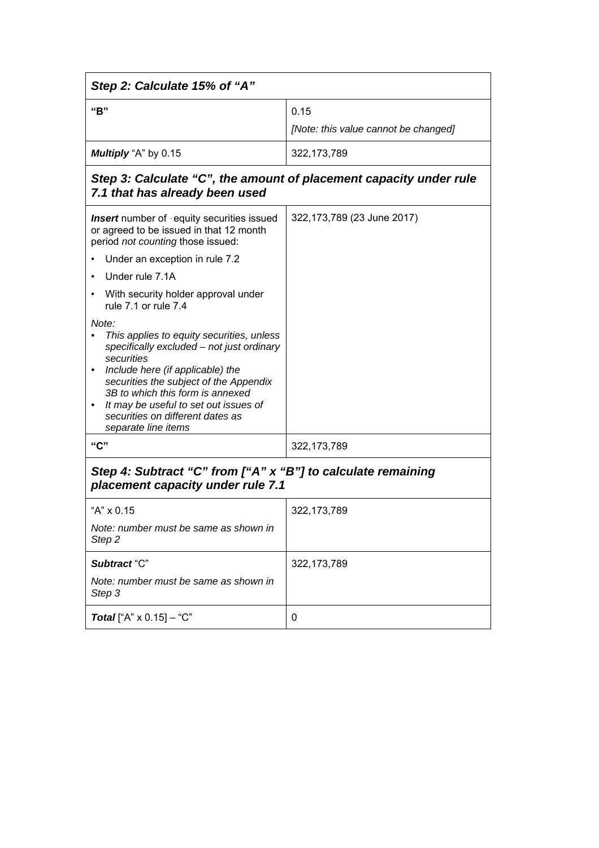| Step 2: Calculate 15% of "A"                                                                                                                                                                                                                                                                                                        |                                      |  |
|-------------------------------------------------------------------------------------------------------------------------------------------------------------------------------------------------------------------------------------------------------------------------------------------------------------------------------------|--------------------------------------|--|
| "B"                                                                                                                                                                                                                                                                                                                                 | 0.15                                 |  |
|                                                                                                                                                                                                                                                                                                                                     | [Note: this value cannot be changed] |  |
| Multiply "A" by 0.15                                                                                                                                                                                                                                                                                                                | 322, 173, 789                        |  |
| Step 3: Calculate "C", the amount of placement capacity under rule<br>7.1 that has already been used                                                                                                                                                                                                                                |                                      |  |
| <b>Insert</b> number of equity securities issued<br>or agreed to be issued in that 12 month<br>period not counting those issued:                                                                                                                                                                                                    | 322,173,789 (23 June 2017)           |  |
| Under an exception in rule 7.2                                                                                                                                                                                                                                                                                                      |                                      |  |
| Under rule 7.1A                                                                                                                                                                                                                                                                                                                     |                                      |  |
| With security holder approval under<br>rule 7.1 or rule 7.4                                                                                                                                                                                                                                                                         |                                      |  |
| Note:<br>This applies to equity securities, unless<br>specifically excluded - not just ordinary<br>securities<br>Include here (if applicable) the<br>securities the subject of the Appendix<br>3B to which this form is annexed<br>It may be useful to set out issues of<br>securities on different dates as<br>separate line items |                                      |  |
| "C"                                                                                                                                                                                                                                                                                                                                 | 322, 173, 789                        |  |
| Step 4: Subtract "C" from ["A" x "B"] to calculate remaining<br>placement capacity under rule 7.1                                                                                                                                                                                                                                   |                                      |  |
| "A" x 0.15                                                                                                                                                                                                                                                                                                                          | 322, 173, 789                        |  |
| Note: number must be same as shown in<br>Step <sub>2</sub>                                                                                                                                                                                                                                                                          |                                      |  |
| Subtract "C"                                                                                                                                                                                                                                                                                                                        | 322, 173, 789                        |  |
| Note: number must be same as shown in<br>Step 3                                                                                                                                                                                                                                                                                     |                                      |  |
| <b>Total</b> ["A" $\times$ 0.15] - "C"                                                                                                                                                                                                                                                                                              | 0                                    |  |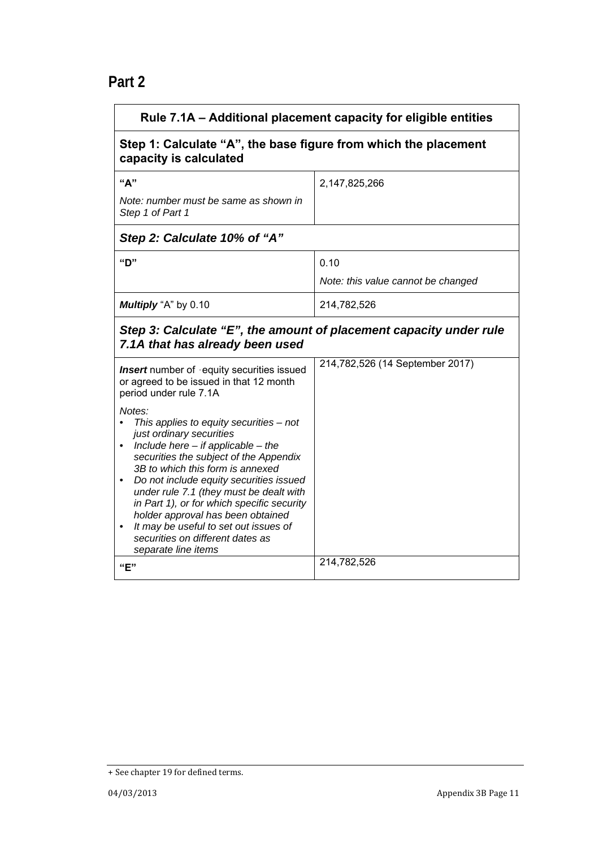# **Part 2**

| Rule 7.1A - Additional placement capacity for eligible entities                                                       |                                                                 |  |  |
|-----------------------------------------------------------------------------------------------------------------------|-----------------------------------------------------------------|--|--|
| capacity is calculated                                                                                                | Step 1: Calculate "A", the base figure from which the placement |  |  |
| "A"<br>Note: number must be same as shown in                                                                          | 2,147,825,266                                                   |  |  |
| Step 1 of Part 1                                                                                                      |                                                                 |  |  |
| Step 2: Calculate 10% of "A"                                                                                          |                                                                 |  |  |
| "D"                                                                                                                   | 0.10                                                            |  |  |
|                                                                                                                       | Note: this value cannot be changed                              |  |  |
| Multiply "A" by 0.10                                                                                                  | 214,782,526                                                     |  |  |
| Step 3: Calculate "E", the amount of placement capacity under rule<br>7.1A that has already been used                 |                                                                 |  |  |
| <b>Insert</b> number of equity securities issued<br>or agreed to be issued in that 12 month<br>period under rule 7.1A | 214,782,526 (14 September 2017)                                 |  |  |
| Notes:<br>This applies to equity securities - not                                                                     |                                                                 |  |  |
| just ordinary securities                                                                                              |                                                                 |  |  |
| Include here $-$ if applicable $-$ the<br>securities the subject of the Appendix                                      |                                                                 |  |  |
| 3B to which this form is annexed<br>Do not include equity securities issued                                           |                                                                 |  |  |
| under rule 7.1 (they must be dealt with<br>in Part 1), or for which specific security                                 |                                                                 |  |  |
| holder approval has been obtained<br>It may be useful to set out issues of                                            |                                                                 |  |  |
| securities on different dates as<br>separate line items                                                               |                                                                 |  |  |
| "E"                                                                                                                   | 214,782,526                                                     |  |  |

<sup>+</sup> See chapter 19 for defined terms.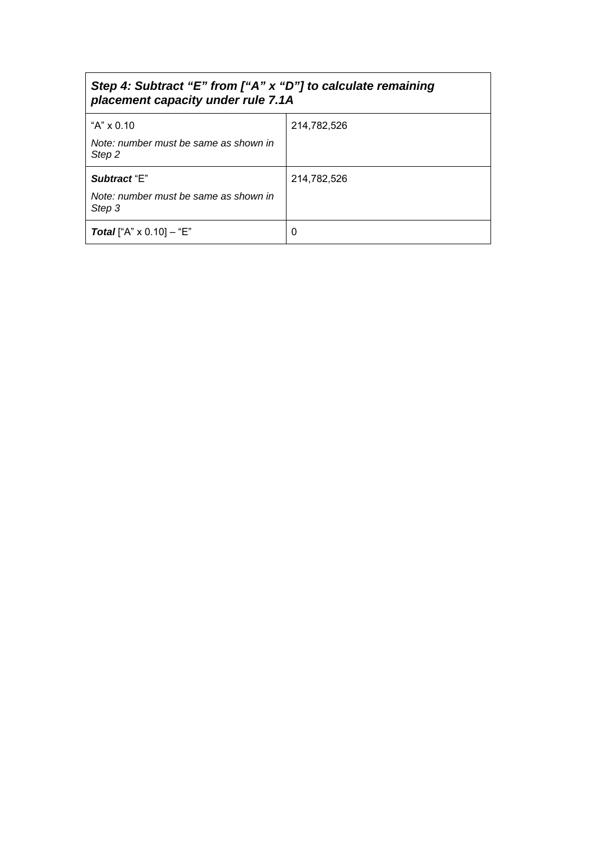| Step 4: Subtract "E" from ["A" x "D"] to calculate remaining |  |  |
|--------------------------------------------------------------|--|--|
| placement capacity under rule 7.1A                           |  |  |

| "A" $\times$ 0.10                               | 214,782,526 |
|-------------------------------------------------|-------------|
| Note: number must be same as shown in<br>Step 2 |             |
| Subtract "E"                                    | 214,782,526 |
| Note: number must be same as shown in<br>Step 3 |             |
| <b>Total</b> ["A" $\times$ 0.10] – "E"          | 0           |